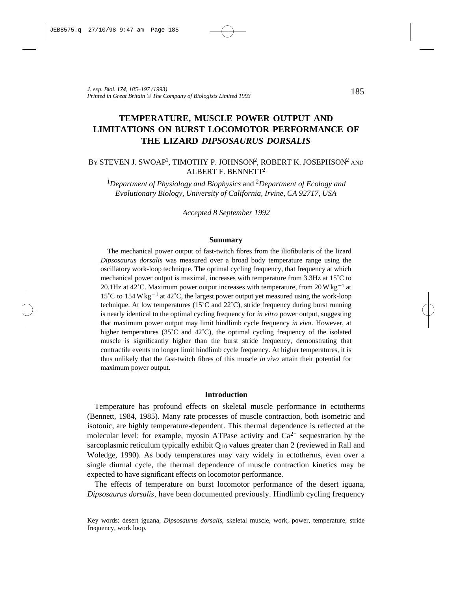# **TEMPERATURE, MUSCLE POWER OUTPUT AND LIMITATIONS ON BURST LOCOMOTOR PERFORMANCE OF THE LIZARD** *DIPSOSAURUS DORSALIS*

# BY STEVEN J. SWOAP<sup>1</sup>, TIMOTHY P. JOHNSON<sup>2</sup>, ROBERT K. JOSEPHSON<sup>2</sup> and ALBERT F. BENNETT<sup>2</sup>

<sup>1</sup>*Department of Physiology and Biophysics* and 2*Department of Ecology and Evolutionary Biology, University of California, Irvine, CA 92717, USA*

*Accepted 8 September 1992*

#### **Summary**

The mechanical power output of fast-twitch fibres from the iliofibularis of the lizard *Dipsosaurus dorsalis* was measured over a broad body temperature range using the oscillatory work-loop technique. The optimal cycling frequency, that frequency at which mechanical power output is maximal, increases with temperature from 3.3Hz at 15˚C to 20.1Hz at 42°C. Maximum power output increases with temperature, from  $20 \,\text{W}\,\text{kg}^{-1}$  at 15<sup>°</sup>C to 154 W kg<sup>-1</sup> at 42<sup>°</sup>C, the largest power output yet measured using the work-loop technique. At low temperatures (15˚C and 22˚C), stride frequency during burst running is nearly identical to the optimal cycling frequency for *in vitro* power output, suggesting that maximum power output may limit hindlimb cycle frequency *in vivo*. However, at higher temperatures (35 $^{\circ}$ C and 42 $^{\circ}$ C), the optimal cycling frequency of the isolated muscle is significantly higher than the burst stride frequency, demonstrating that contractile events no longer limit hindlimb cycle frequency. At higher temperatures, it is thus unlikely that the fast-twitch fibres of this muscle *in vivo* attain their potential for maximum power output.

## **Introduction**

Temperature has profound effects on skeletal muscle performance in ectotherms (Bennett, 1984, 1985). Many rate processes of muscle contraction, both isometric and isotonic, are highly temperature-dependent. This thermal dependence is reflected at the molecular level: for example, myosin ATPase activity and  $Ca^{2+}$  sequestration by the sarcoplasmic reticulum typically exhibit  $Q_{10}$  values greater than 2 (reviewed in Rall and Woledge, 1990). As body temperatures may vary widely in ectotherms, even over a single diurnal cycle, the thermal dependence of muscle contraction kinetics may be expected to have significant effects on locomotor performance.

The effects of temperature on burst locomotor performance of the desert iguana, *Dipsosaurus dorsalis*, have been documented previously. Hindlimb cycling frequency

Key words: desert iguana, *Dipsosaurus dorsalis*, skeletal muscle, work, power, temperature, stride frequency, work loop.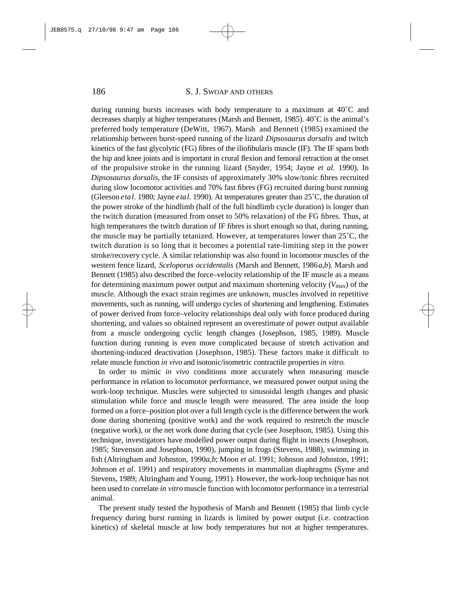## 186 S. J. SWOAP AND OTHERS

during running bursts increases with body temperature to a maximum at 40˚C and decreases sharply at higher temperatures (Marsh and Bennett, 1985). 40˚C is the animal's preferred body temperature (DeWitt, 1967). Marsh and Bennett (1985) examined the relationship between burst-speed running of the lizard *Dipsosaurus dorsalis* and twitch kinetics of the fast glycolytic (FG) fibres of the iliofibularis muscle (IF). The IF spans both the hip and knee joints and is important in crural flexion and femoral retraction at the onset of the propulsive stroke in the running lizard (Snyder, 1954; Jayne *et al.* 1990). In *Dipsosaurus dorsalis*, the IF consists of approximately 30% slow/tonic fibres recruited during slow locomotor activities and 70% fast fibres (FG) recruited during burst running (Gleeson *e ta l*. 1980; Jayne *e ta l*. 1990). At temperatures greater than 25˚C, the duration of the power stroke of the hindlimb (half of the full hindlimb cycle duration) is longer than the twitch duration (measured from onset to 50% relaxation) of the FG fibres. Thus, at high temperatures the twitch duration of IF fibres is short enough so that, during running, the muscle may be partially tetanized. However, at temperatures lower than 25˚C, the twitch duration is so long that it becomes a potential rate-limiting step in the power stroke/recovery cycle. A similar relationship was also found in locomotor muscles of the western fence lizard, *Sceloporus occidentalis* (Marsh and Bennett, 1986*a,b*). Marsh and Bennett (1985) also described the force–velocity relationship of the IF muscle as a means for determining maximum power output and maximum shortening velocity ( $V_{\text{max}}$ ) of the muscle. Although the exact strain regimes are unknown, muscles involved in repetitive movements, such as running, will undergo cycles of shortening and lengthening. Estimates of power derived from force–velocity relationships deal only with force produced during shortening, and values so obtained represent an overestimate of power output available from a muscle undergoing cyclic length changes (Josephson, 1985, 1989). Muscle function during running is even more complicated because of stretch activation and shortening-induced deactivation (Josephson, 1985). These factors make it difficult to relate muscle function *in vivo* and isotonic/isometric contractile properties *in vitro*.

In order to mimic *in vivo* conditions more accurately when measuring muscle performance in relation to locomotor performance, we measured power output using the work-loop technique. Muscles were subjected to sinusoidal length changes and phasic stimulation while force and muscle length were measured. The area inside the loop formed on a force–position plot over a full length cycle is the difference between the work done during shortening (positive work) and the work required to restretch the muscle (negative work), or the net work done during that cycle (see Josephson, 1985). Using this technique, investigators have modelled power output during flight in insects (Josephson, 1985; Stevenson and Josephson, 1990), jumping in frogs (Stevens, 1988), swimming in fish (Altringham and Johnston, 1990*a*,*b*; Moon *et al*. 1991; Johnson and Johnston, 1991; Johnson *et al*. 1991) and respiratory movements in mammalian diaphragms (Syme and Stevens, 1989; Altringham and Young, 1991). However, the work-loop technique has not been used to correlate *in vitro*muscle function with locomotor performance in a terrestrial animal.

The present study tested the hypothesis of Marsh and Bennett (1985) that limb cycle frequency during burst running in lizards is limited by power output (i.e. contraction kinetics) of skeletal muscle at low body temperatures but not at higher temperatures.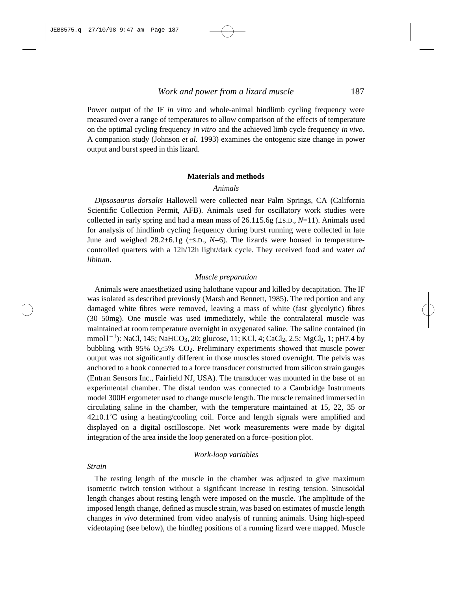Power output of the IF *in vitro* and whole-animal hindlimb cycling frequency were measured over a range of temperatures to allow comparison of the effects of temperature on the optimal cycling frequency *in vitro* and the achieved limb cycle frequency *in vivo*. A companion study (Johnson *et al.* 1993) examines the ontogenic size change in power output and burst speed in this lizard.

## **Materials and methods**

#### *Animals*

*Dipsosaurus dorsalis* Hallowell were collected near Palm Springs, CA (California Scientific Collection Permit, AFB). Animals used for oscillatory work studies were collected in early spring and had a mean mass of  $26.1 \pm 5.6$  ( $\pm$ s.p.,  $N=11$ ). Animals used for analysis of hindlimb cycling frequency during burst running were collected in late June and weighed  $28.2\pm6.1$ g ( $\pm$ s.p.,  $N=6$ ). The lizards were housed in temperaturecontrolled quarters with a 12h/12h light/dark cycle. They received food and water *ad libitum*.

## *Muscle preparation*

Animals were anaesthetized using halothane vapour and killed by decapitation. The IF was isolated as described previously (Marsh and Bennett, 1985). The red portion and any damaged white fibres were removed, leaving a mass of white (fast glycolytic) fibres (30–50mg). One muscle was used immediately, while the contralateral muscle was maintained at room temperature overnight in oxygenated saline. The saline contained (in mmol 1<sup>-1</sup>): NaCl, 145; NaHCO<sub>3</sub>, 20; glucose, 11; KCl, 4; CaCl<sub>2</sub>, 2.5; MgCl<sub>2</sub>, 1; pH7.4 by bubbling with  $95\%$   $O_2:5\%$   $CO_2$ . Preliminary experiments showed that muscle power output was not significantly different in those muscles stored overnight. The pelvis was anchored to a hook connected to a force transducer constructed from silicon strain gauges (Entran Sensors Inc., Fairfield NJ, USA). The transducer was mounted in the base of an experimental chamber. The distal tendon was connected to a Cambridge Instruments model 300H ergometer used to change muscle length. The muscle remained immersed in circulating saline in the chamber, with the temperature maintained at 15, 22, 35 or  $42\pm0.1^{\circ}$ C using a heating/cooling coil. Force and length signals were amplified and displayed on a digital oscilloscope. Net work measurements were made by digital integration of the area inside the loop generated on a force–position plot.

## *Work-loop variables*

#### *Strain*

The resting length of the muscle in the chamber was adjusted to give maximum isometric twitch tension without a significant increase in resting tension. Sinusoidal length changes about resting length were imposed on the muscle. The amplitude of the imposed length change, defined as muscle strain, was based on estimates of muscle length changes *in vivo* determined from video analysis of running animals. Using high-speed videotaping (see below), the hindleg positions of a running lizard were mapped. Muscle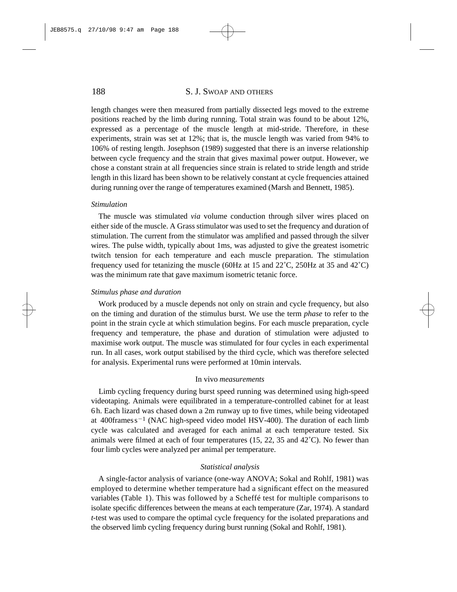# 188 S. J. SWOAP AND OTHERS

length changes were then measured from partially dissected legs moved to the extreme positions reached by the limb during running. Total strain was found to be about 12%, expressed as a percentage of the muscle length at mid-stride. Therefore, in these experiments, strain was set at 12%; that is, the muscle length was varied from 94% to 106% of resting length. Josephson (1989) suggested that there is an inverse relationship between cycle frequency and the strain that gives maximal power output. However, we chose a constant strain at all frequencies since strain is related to stride length and stride length in this lizard has been shown to be relatively constant at cycle frequencies attained during running over the range of temperatures examined (Marsh and Bennett, 1985).

#### *Stimulation*

The muscle was stimulated *via* volume conduction through silver wires placed on either side of the muscle. A Grass stimulator was used to set the frequency and duration of stimulation. The current from the stimulator was amplified and passed through the silver wires. The pulse width, typically about 1ms, was adjusted to give the greatest isometric twitch tension for each temperature and each muscle preparation. The stimulation frequency used for tetanizing the muscle (60Hz at 15 and 22˚C, 250Hz at 35 and 42˚C) was the minimum rate that gave maximum isometric tetanic force.

#### *Stimulus phase and duration*

Work produced by a muscle depends not only on strain and cycle frequency, but also on the timing and duration of the stimulus burst. We use the term *phase* to refer to the point in the strain cycle at which stimulation begins. For each muscle preparation, cycle frequency and temperature, the phase and duration of stimulation were adjusted to maximise work output. The muscle was stimulated for four cycles in each experimental run. In all cases, work output stabilised by the third cycle, which was therefore selected for analysis. Experimental runs were performed at 10min intervals.

#### In vivo *measurements*

Limb cycling frequency during burst speed running was determined using high-speed videotaping. Animals were equilibrated in a temperature-controlled cabinet for at least 6 h. Each lizard was chased down a 2m runway up to five times, while being videotaped at  $400$ framess<sup>-1</sup> (NAC high-speed video model HSV-400). The duration of each limb cycle was calculated and averaged for each animal at each temperature tested. Six animals were filmed at each of four temperatures (15, 22, 35 and  $42^{\circ}$ C). No fewer than four limb cycles were analyzed per animal per temperature.

## *Statistical analysis*

A single-factor analysis of variance (one-way ANOVA; Sokal and Rohlf, 1981) was employed to determine whether temperature had a significant effect on the measured variables (Table 1). This was followed by a Scheffé test for multiple comparisons to isolate specific differences between the means at each temperature (Zar, 1974). A standard *t*-test was used to compare the optimal cycle frequency for the isolated preparations and the observed limb cycling frequency during burst running (Sokal and Rohlf, 1981).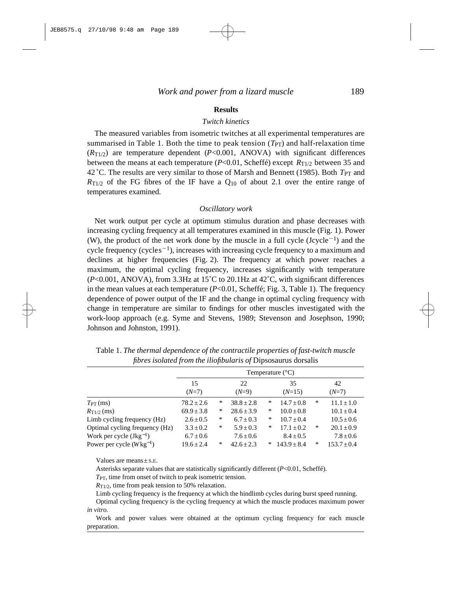## **Results**

## *Twitch kinetics*

The measured variables from isometric twitches at all experimental temperatures are summarised in Table 1. Both the time to peak tension  $(T_{PT})$  and half-relaxation time  $(R_{\text{T1/2}})$  are temperature dependent (*P*<0.001, ANOVA) with significant differences between the means at each temperature  $(P<0.01, Scheff\acute{e})$  except  $R_{T1/2}$  between 35 and 42 °C. The results are very similar to those of Marsh and Bennett (1985). Both *T*<sub>PT</sub> and  $R_{\text{T1/2}}$  of the FG fibres of the IF have a  $\text{Q}_{10}$  of about 2.1 over the entire range of temperatures examined.

#### *Oscillatory work*

Net work output per cycle at optimum stimulus duration and phase decreases with increasing cycling frequency at all temperatures examined in this muscle (Fig. 1). Power (W), the product of the net work done by the muscle in a full cycle  $(Jcycle^{-1})$  and the cycle frequency (cycles<sup> $-1$ </sup>), increases with increasing cycle frequency to a maximum and declines at higher frequencies (Fig. 2). The frequency at which power reaches a maximum, the optimal cycling frequency, increases significantly with temperature (*P*<0.001, ANOVA), from 3.3Hz at 15˚C to 20.1Hz at 42˚C, with significant differences in the mean values at each temperature  $(P<0.01, S$ cheffé; Fig. 3, Table 1). The frequency dependence of power output of the IF and the change in optimal cycling frequency with change in temperature are similar to findings for other muscles investigated with the work-loop approach (e.g. Syme and Stevens, 1989; Stevenson and Josephson, 1990; Johnson and Johnston, 1991).

| Temperature $(^{\circ}C)$ |                                |                |   |                 |   |                 |
|---------------------------|--------------------------------|----------------|---|-----------------|---|-----------------|
| 15<br>$(N=7)$             |                                | 22<br>$(N=9)$  |   | 35<br>$(N=15)$  |   | 42<br>$(N=7)$   |
| $78.2 \pm 2.6$            | ∗                              | $38.8 \pm 2.8$ | ∗ | $14.7 \pm 0.8$  | ∗ | $11.1 \pm 1.0$  |
| $69.9 \pm 3.8$            | $\ast$                         | $28.6 \pm 3.9$ | ∗ | $10.0 \pm 0.8$  |   | $10.1 \pm 0.4$  |
| $2.6 \pm 0.5$             | *                              | $6.7 \pm 0.3$  | ∗ | $10.7 + 0.4$    |   | $10.5 \pm 0.6$  |
| $3.3 \pm 0.2$             | $\ast$                         | $5.9 \pm 0.3$  | ∗ | $17.1 \pm 0.2$  | ∗ | $20.1 \pm 0.9$  |
| $6.7 \pm 0.6$             |                                | $7.6 \pm 0.6$  |   | $8.4 \pm 0.5$   |   | $7.8 \pm 0.6$   |
| $19.6 \pm 2.4$            | *                              | $42.6 \pm 2.3$ | * | $143.9 \pm 8.4$ | ∗ | $153.7 \pm 0.4$ |
|                           | Optimal cycling frequency (Hz) |                |   |                 |   |                 |

Table 1. *The thermal dependence of the contractile properties of fast-twitch muscle fibres isolated from the iliofibularis of* Dipsosaurus dorsalis

Values are means±S.E.

Asterisks separate values that are statistically significantly different (*P*<0.01, Scheffé).

*T*PT, time from onset of twitch to peak isometric tension.

*R*<sub>T1/2</sub>, time from peak tension to 50% relaxation.

Limb cycling frequency is the frequency at which the hindlimb cycles during burst speed running.

Optimal cycling frequency is the cycling frequency at which the muscle produces maximum power *in vitro*.

Work and power values were obtained at the optimum cycling frequency for each muscle preparation.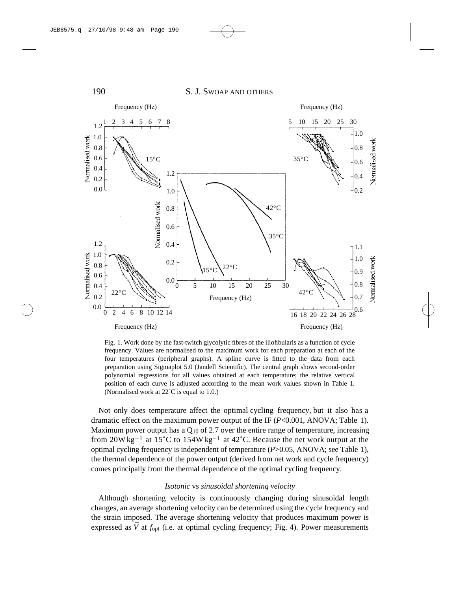

Fig. 1. Work done by the fast-twitch glycolytic fibres of the iliofibularis as a function of cycle frequency. Values are normalised to the maximum work for each preparation at each of the four temperatures (peripheral graphs). A spline curve is fitted to the data from each preparation using Sigmaplot 5.0 (Jandell Scientific). The central graph shows second-order polynomial regressions for all values obtained at each temperature; the relative vertical position of each curve is adjusted according to the mean work values shown in Table 1. (Normalised work at 22˚C is equal to 1.0.)

Not only does temperature affect the optimal cycling frequency, but it also has a dramatic effect on the maximum power output of the IF  $(P<0.001, ANOVA; Table 1)$ . Maximum power output has a  $Q_{10}$  of 2.7 over the entire range of temperature, increasing from  $20W kg^{-1}$  at  $15^{\circ}$ C to  $154W kg^{-1}$  at  $42^{\circ}$ C. Because the net work output at the optimal cycling frequency is independent of temperature (*P*>0.05, ANOVA; see Table 1), the thermal dependence of the power output (derived from net work and cycle frequency) comes principally from the thermal dependence of the optimal cycling frequency.

#### *Isotonic* vs *sinusoidal shortening velocity*

Although shortening velocity is continuously changing during sinusoidal length changes, an average shortening velocity can be determined using the cycle frequency and the strain imposed. The average shortening velocity that produces maximum power is expressed as  $\bar{V}$  at  $f_{\text{opt}}$  (i.e. at optimal cycling frequency; Fig. 4). Power measurements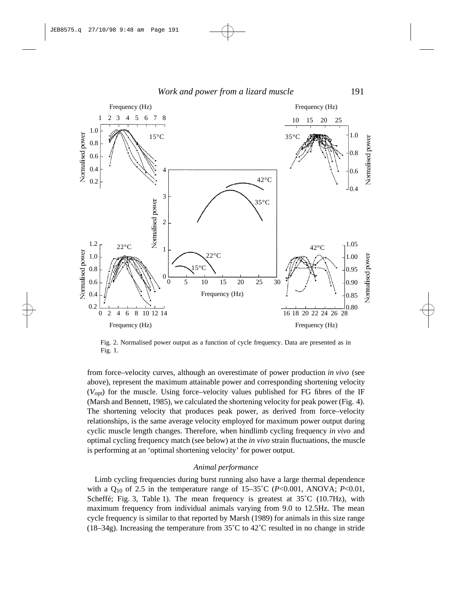

Fig. 2. Normalised power output as a function of cycle frequency. Data are presented as in Fig. 1.

from force–velocity curves, although an overestimate of power production *in vivo* (see above), represent the maximum attainable power and corresponding shortening velocity  $(V_{\text{out}})$  for the muscle. Using force–velocity values published for FG fibres of the IF (Marsh and Bennett, 1985), we calculated the shortening velocity for peak power (Fig. 4). The shortening velocity that produces peak power, as derived from force–velocity relationships, is the same average velocity employed for maximum power output during cyclic muscle length changes. Therefore, when hindlimb cycling frequency *in vivo* and optimal cycling frequency match (see below) at the *in vivo* strain fluctuations, the muscle is performing at an 'optimal shortening velocity' for power output.

## *Animal performance*

Limb cycling frequencies during burst running also have a large thermal dependence with a Q10 of 2.5 in the temperature range of 15–35˚C (*P*<0.001, ANOVA; *P*<0.01, Scheffé; Fig. 3, Table 1). The mean frequency is greatest at  $35^{\circ}$ C (10.7Hz), with maximum frequency from individual animals varying from 9.0 to 12.5Hz. The mean cycle frequency is similar to that reported by Marsh (1989) for animals in this size range (18–34g). Increasing the temperature from  $35^{\circ}$ C to  $42^{\circ}$ C resulted in no change in stride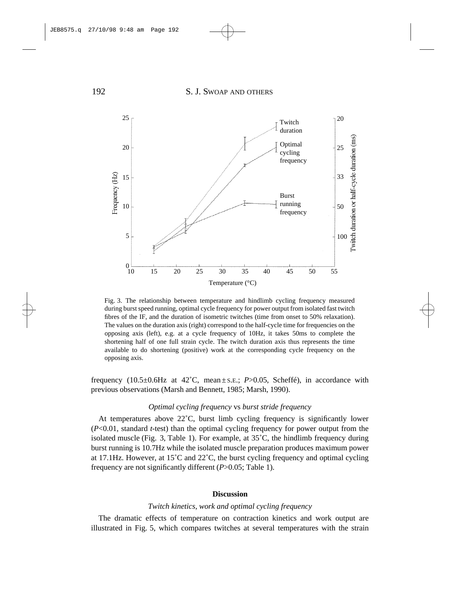

Fig. 3. The relationship between temperature and hindlimb cycling frequency measured during burst speed running, optimal cycle frequency for power output from isolated fast twitch fibres of the IF, and the duration of isometric twitches (time from onset to 50% relaxation). The values on the duration axis (right) correspond to the half-cycle time for frequencies on the opposing axis (left), e.g. at a cycle frequency of 10Hz, it takes 50ms to complete the shortening half of one full strain cycle. The twitch duration axis thus represents the time available to do shortening (positive) work at the corresponding cycle frequency on the opposing axis.

frequency  $(10.5\pm0.6\text{Hz}$  at  $42^{\circ}\text{C}$ , mean $\pm$ s.E.; *P*>0.05, Scheffé), in accordance with previous observations (Marsh and Bennett, 1985; Marsh, 1990).

## *Optimal cycling frequency* vs *burst stride frequency*

At temperatures above 22˚C, burst limb cycling frequency is significantly lower (*P*<0.01, standard *t*-test) than the optimal cycling frequency for power output from the isolated muscle (Fig. 3, Table 1). For example, at  $35^{\circ}$ C, the hindlimb frequency during burst running is 10.7Hz while the isolated muscle preparation produces maximum power at 17.1Hz. However, at 15˚C and 22˚C, the burst cycling frequency and optimal cycling frequency are not significantly different (*P*>0.05; Table 1).

## **Discussion**

## *Twitch kinetics, work and optimal cycling frequency*

The dramatic effects of temperature on contraction kinetics and work output are illustrated in Fig. 5, which compares twitches at several temperatures with the strain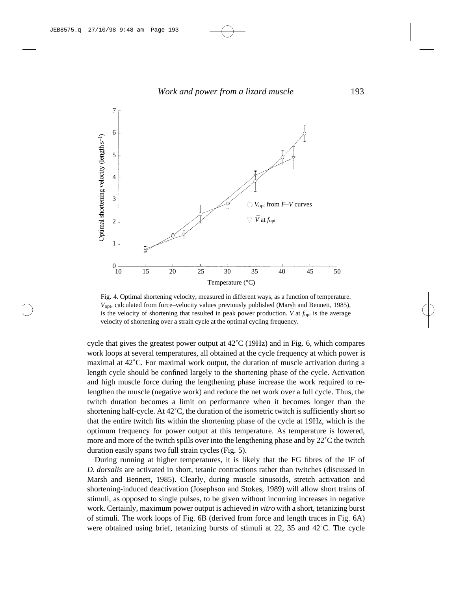

Fig. 4. Optimal shortening velocity, measured in different ways, as a function of temperature. *V*opt, calculated from force–velocity values previously published (Marsh and Bennett, 1985), is the velocity of shortening that resulted in peak power production.  $\bar{V}$  at  $f_{opt}$  is the average velocity of shortening over a strain cycle at the optimal cycling frequency.

cycle that gives the greatest power output at 42˚C (19Hz) and in Fig. 6, which compares work loops at several temperatures, all obtained at the cycle frequency at which power is maximal at 42˚C. For maximal work output, the duration of muscle activation during a length cycle should be confined largely to the shortening phase of the cycle. Activation and high muscle force during the lengthening phase increase the work required to relengthen the muscle (negative work) and reduce the net work over a full cycle. Thus, the twitch duration becomes a limit on performance when it becomes longer than the shortening half-cycle. At 42°C, the duration of the isometric twitch is sufficiently short so that the entire twitch fits within the shortening phase of the cycle at 19Hz, which is the optimum frequency for power output at this temperature. As temperature is lowered, more and more of the twitch spills over into the lengthening phase and by  $22^{\circ}$ C the twitch duration easily spans two full strain cycles (Fig. 5).

During running at higher temperatures, it is likely that the FG fibres of the IF of *D. dorsalis* are activated in short, tetanic contractions rather than twitches (discussed in Marsh and Bennett, 1985). Clearly, during muscle sinusoids, stretch activation and shortening-induced deactivation (Josephson and Stokes, 1989) will allow short trains of stimuli, as opposed to single pulses, to be given without incurring increases in negative work. Certainly, maximum power output is achieved *in vitro* with a short, tetanizing burst of stimuli. The work loops of Fig. 6B (derived from force and length traces in Fig. 6A) were obtained using brief, tetanizing bursts of stimuli at  $22$ ,  $35$  and  $42^{\circ}$ C. The cycle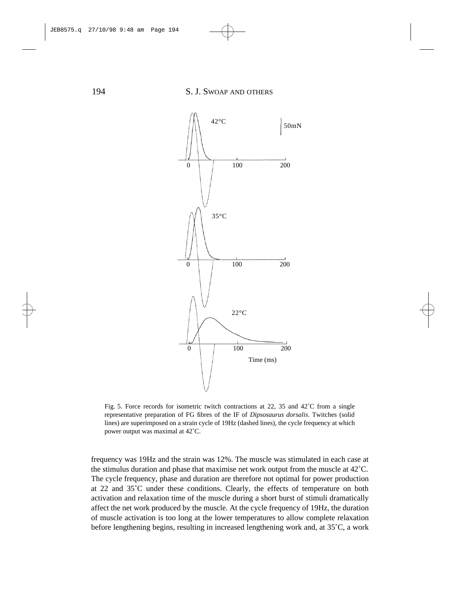

Fig. 5. Force records for isometric twitch contractions at 22, 35 and 42<sup>°</sup>C from a single representative preparation of FG fibres of the IF of *Dipsosaurus dorsalis*. Twitches (solid lines) are superimposed on a strain cycle of 19Hz (dashed lines), the cycle frequency at which power output was maximal at 42˚C.

frequency was 19Hz and the strain was 12%. The muscle was stimulated in each case at the stimulus duration and phase that maximise net work output from the muscle at 42˚C. The cycle frequency, phase and duration are therefore not optimal for power production at 22 and 35˚C under these conditions. Clearly, the effects of temperature on both activation and relaxation time of the muscle during a short burst of stimuli dramatically affect the net work produced by the muscle. At the cycle frequency of 19Hz, the duration of muscle activation is too long at the lower temperatures to allow complete relaxation before lengthening begins, resulting in increased lengthening work and, at 35˚C, a work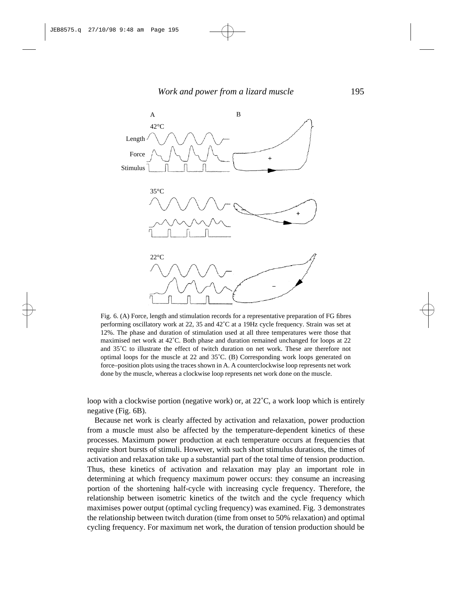

Fig. 6. (A) Force, length and stimulation records for a representative preparation of FG fibres performing oscillatory work at 22, 35 and 42˚C at a 19Hz cycle frequency. Strain was set at 12%. The phase and duration of stimulation used at all three temperatures were those that maximised net work at 42˚C. Both phase and duration remained unchanged for loops at 22 and 35˚C to illustrate the effect of twitch duration on net work. These are therefore not optimal loops for the muscle at 22 and 35˚C. (B) Corresponding work loops generated on force–position plots using the traces shown in A. A counterclockwise loop represents net work done by the muscle, whereas a clockwise loop represents net work done on the muscle.

loop with a clockwise portion (negative work) or, at 22˚C, a work loop which is entirely negative (Fig. 6B).

Because net work is clearly affected by activation and relaxation, power production from a muscle must also be affected by the temperature-dependent kinetics of these processes. Maximum power production at each temperature occurs at frequencies that require short bursts of stimuli. However, with such short stimulus durations, the times of activation and relaxation take up a substantial part of the total time of tension production. Thus, these kinetics of activation and relaxation may play an important role in determining at which frequency maximum power occurs: they consume an increasing portion of the shortening half-cycle with increasing cycle frequency. Therefore, the relationship between isometric kinetics of the twitch and the cycle frequency which maximises power output (optimal cycling frequency) was examined. Fig. 3 demonstrates the relationship between twitch duration (time from onset to 50% relaxation) and optimal cycling frequency. For maximum net work, the duration of tension production should be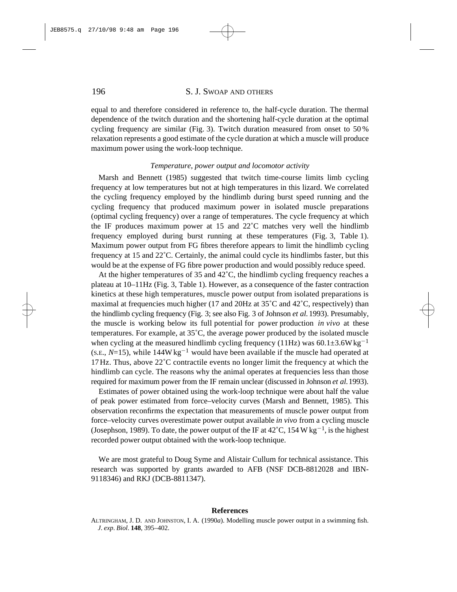## 196 S. J. SWOAP AND OTHERS

equal to and therefore considered in reference to, the half-cycle duration. The thermal dependence of the twitch duration and the shortening half-cycle duration at the optimal cycling frequency are similar (Fig. 3). Twitch duration measured from onset to 50 % relaxation represents a good estimate of the cycle duration at which a muscle will produce maximum power using the work-loop technique.

#### *Temperature, power output and locomotor activity*

Marsh and Bennett (1985) suggested that twitch time-course limits limb cycling frequency at low temperatures but not at high temperatures in this lizard. We correlated the cycling frequency employed by the hindlimb during burst speed running and the cycling frequency that produced maximum power in isolated muscle preparations (optimal cycling frequency) over a range of temperatures. The cycle frequency at which the IF produces maximum power at 15 and 22˚C matches very well the hindlimb frequency employed during burst running at these temperatures (Fig. 3, Table 1). Maximum power output from FG fibres therefore appears to limit the hindlimb cycling frequency at 15 and 22˚C. Certainly, the animal could cycle its hindlimbs faster, but this would be at the expense of FG fibre power production and would possibly reduce speed.

At the higher temperatures of 35 and 42˚C, the hindlimb cycling frequency reaches a plateau at 10–11Hz (Fig. 3, Table 1). However, as a consequence of the faster contraction kinetics at these high temperatures, muscle power output from isolated preparations is maximal at frequencies much higher (17 and 20Hz at  $35^{\circ}$ C and  $42^{\circ}$ C, respectively) than the hindlimb cycling frequency (Fig. 3; see also Fig. 3 of Johnson *et al.*1993). Presumably, the muscle is working below its full potential for power production *in vivo* at these temperatures. For example, at 35˚C, the average power produced by the isolated muscle when cycling at the measured hindlimb cycling frequency (11Hz) was  $60.1\pm3.6W$  kg<sup>-1</sup> (s.e.,  $N=15$ ), while  $144W \text{ kg}^{-1}$  would have been available if the muscle had operated at  $17\,\text{Hz}$ . Thus, above  $22^{\circ}$ C contractile events no longer limit the frequency at which the hindlimb can cycle. The reasons why the animal operates at frequencies less than those required for maximum power from the IF remain unclear (discussed in Johnson *et al.* 1993).

Estimates of power obtained using the work-loop technique were about half the value of peak power estimated from force–velocity curves (Marsh and Bennett, 1985). This observation reconfirms the expectation that measurements of muscle power output from force–velocity curves overestimate power output available *in vivo* from a cycling muscle (Josephson, 1989). To date, the power output of the IF at  $42^{\circ}$ C, 154 W kg<sup>-1</sup>, is the highest recorded power output obtained with the work-loop technique.

We are most grateful to Doug Syme and Alistair Cullum for technical assistance. This research was supported by grants awarded to AFB (NSF DCB-8812028 and IBN-9118346) and RKJ (DCB-8811347).

## **References**

ALTRINGHAM, J. D. AND JOHNSTON, I. A. (1990*a*). Modelling muscle power output in a swimming fish. *J*. *exp*. *Biol*. **148**, 395–402.